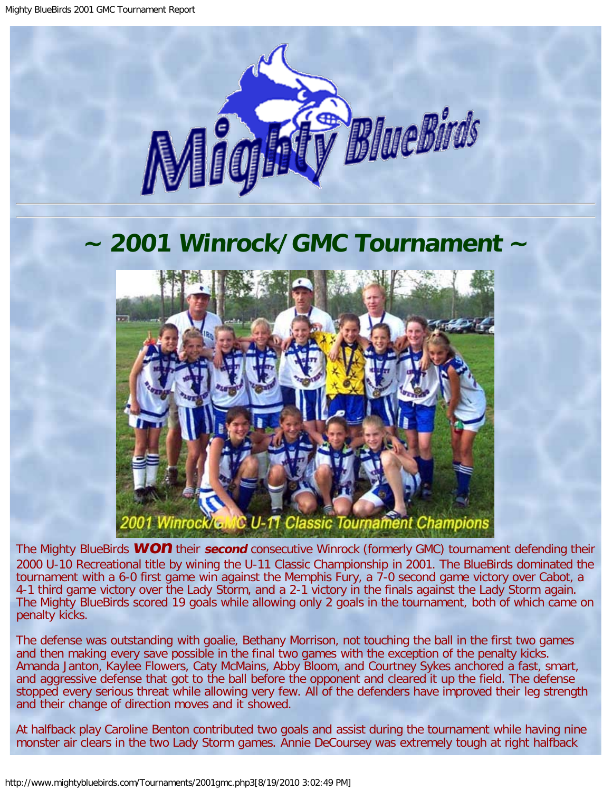

## <span id="page-0-0"></span>**~ 2001 Winrock/GMC Tournament ~**



The Mighty BlueBirds **WON** their **second** consecutive Winrock (formerly GMC) tournament defending their 2000 U-10 Recreational title by wining the U-11 Classic Championship in 2001. The BlueBirds dominated the tournament with a 6-0 first game win against the Memphis Fury, a 7-0 second game victory over Cabot, a 4-1 third game victory over the Lady Storm, and a 2-1 victory in the finals against the Lady Storm again. The Mighty BlueBirds scored 19 goals while allowing only 2 goals in the tournament, both of which came on penalty kicks.

The defense was outstanding with goalie, Bethany Morrison, not touching the ball in the first two games and then making every save possible in the final two games with the exception of the penalty kicks. Amanda Janton, Kaylee Flowers, Caty McMains, Abby Bloom, and Courtney Sykes anchored a fast, smart, and aggressive defense that got to the ball before the opponent and cleared it up the field. The defense stopped every serious threat while allowing very few. All of the defenders have improved their leg strength and their change of direction moves and it showed.

At halfback play Caroline Benton contributed two goals and assist during the tournament while having nine monster air clears in the two Lady Storm games. Annie DeCoursey was extremely tough at right halfback